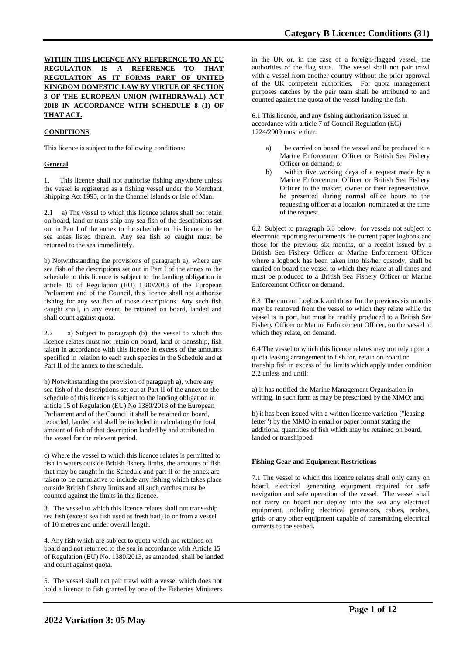## **WITHIN THIS LICENCE ANY REFERENCE TO AN EU REGULATION IS A REFERENCE TO THAT REGULATION AS IT FORMS PART OF UNITED KINGDOM DOMESTIC LAW BY VIRTUE OF SECTION 3 OF THE EUROPEAN UNION (WITHDRAWAL) ACT 2018 IN ACCORDANCE WITH SCHEDULE 8 (1) OF THAT ACT.**

# **CONDITIONS**

This licence is subject to the following conditions:

### **General**

1. This licence shall not authorise fishing anywhere unless the vessel is registered as a fishing vessel under the Merchant Shipping Act 1995, or in the Channel Islands or Isle of Man.

2.1 a) The vessel to which this licence relates shall not retain on board, land or trans-ship any sea fish of the descriptions set out in Part I of the annex to the schedule to this licence in the sea areas listed therein. Any sea fish so caught must be returned to the sea immediately.

b) Notwithstanding the provisions of paragraph a), where any sea fish of the descriptions set out in Part I of the annex to the schedule to this licence is subject to the landing obligation in article 15 of Regulation (EU) 1380/2013 of the European Parliament and of the Council, this licence shall not authorise fishing for any sea fish of those descriptions. Any such fish caught shall, in any event, be retained on board, landed and shall count against quota.

2.2 a) Subject to paragraph (b), the vessel to which this licence relates must not retain on board, land or transship, fish taken in accordance with this licence in excess of the amounts specified in relation to each such species in the Schedule and at Part II of the annex to the schedule.

b) Notwithstanding the provision of paragraph a), where any sea fish of the descriptions set out at Part II of the annex to the schedule of this licence is subject to the landing obligation in article 15 of Regulation (EU) No 1380/2013 of the European Parliament and of the Council it shall be retained on board, recorded, landed and shall be included in calculating the total amount of fish of that description landed by and attributed to the vessel for the relevant period.

c) Where the vessel to which this licence relates is permitted to fish in waters outside British fishery limits, the amounts of fish that may be caught in the Schedule and part II of the annex are taken to be cumulative to include any fishing which takes place outside British fishery limits and all such catches must be counted against the limits in this licence.

3. The vessel to which this licence relates shall not trans-ship sea fish (except sea fish used as fresh bait) to or from a vessel of 10 metres and under overall length.

4. Any fish which are subject to quota which are retained on board and not returned to the sea in accordance with Article 15 of Regulation (EU) No. 1380/2013, as amended, shall be landed and count against quota.

5. The vessel shall not pair trawl with a vessel which does not hold a licence to fish granted by one of the Fisheries Ministers

in the UK or, in the case of a foreign-flagged vessel, the authorities of the flag state. The vessel shall not pair trawl with a vessel from another country without the prior approval of the UK competent authorities. For quota management purposes catches by the pair team shall be attributed to and counted against the quota of the vessel landing the fish.

6.1 This licence, and any fishing authorisation issued in accordance with article 7 of Council Regulation (EC) 1224/2009 must either:

- be carried on board the vessel and be produced to a Marine Enforcement Officer or British Sea Fishery Officer on demand; or
- b) within five working days of a request made by a Marine Enforcement Officer or British Sea Fishery Officer to the master, owner or their representative, be presented during normal office hours to the requesting officer at a location nominated at the time of the request.

6.2 Subject to paragraph 6.3 below, for vessels not subject to electronic reporting requirements the current paper logbook and those for the previous six months, or a receipt issued by a British Sea Fishery Officer or Marine Enforcement Officer where a logbook has been taken into his/her custody, shall be carried on board the vessel to which they relate at all times and must be produced to a British Sea Fishery Officer or Marine Enforcement Officer on demand.

6.3 The current Logbook and those for the previous six months may be removed from the vessel to which they relate while the vessel is in port, but must be readily produced to a British Sea Fishery Officer or Marine Enforcement Officer, on the vessel to which they relate, on demand.

6.4 The vessel to which this licence relates may not rely upon a quota leasing arrangement to fish for, retain on board or tranship fish in excess of the limits which apply under condition 2.2 unless and until:

a) it has notified the Marine Management Organisation in writing, in such form as may be prescribed by the MMO; and

b) it has been issued with a written licence variation ("leasing letter") by the MMO in email or paper format stating the additional quantities of fish which may be retained on board, landed or transhipped

## **Fishing Gear and Equipment Restrictions**

7.1 The vessel to which this licence relates shall only carry on board, electrical generating equipment required for safe navigation and safe operation of the vessel. The vessel shall not carry on board nor deploy into the sea any electrical equipment, including electrical generators, cables, probes, grids or any other equipment capable of transmitting electrical currents to the seabed.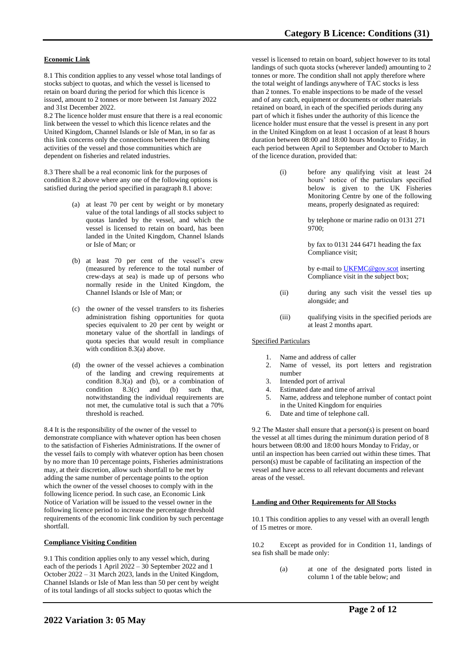## **Economic Link**

8.1 This condition applies to any vessel whose total landings of stocks subject to quotas, and which the vessel is licensed to retain on board during the period for which this licence is issued, amount to 2 tonnes or more between 1st January 2022 and 31st December 2022.

8.2 The licence holder must ensure that there is a real economic link between the vessel to which this licence relates and the United Kingdom, Channel Islands or Isle of Man, in so far as this link concerns only the connections between the fishing activities of the vessel and those communities which are dependent on fisheries and related industries.

8.3 There shall be a real economic link for the purposes of condition 8.2 above where any one of the following options is satisfied during the period specified in paragraph 8.1 above:

- (a) at least 70 per cent by weight or by monetary value of the total landings of all stocks subject to quotas landed by the vessel, and which the vessel is licensed to retain on board, has been landed in the United Kingdom, Channel Islands or Isle of Man; or
- (b) at least 70 per cent of the vessel's crew (measured by reference to the total number of crew-days at sea) is made up of persons who normally reside in the United Kingdom, the Channel Islands or Isle of Man; or
- (c) the owner of the vessel transfers to its fisheries administration fishing opportunities for quota species equivalent to 20 per cent by weight or monetary value of the shortfall in landings of quota species that would result in compliance with condition 8.3(a) above.
- (d) the owner of the vessel achieves a combination of the landing and crewing requirements at condition 8.3(a) and (b), or a combination of condition  $8.3(c)$  and (b) such that.  $8.3(c)$  and (b) such that, notwithstanding the individual requirements are not met, the cumulative total is such that a 70% threshold is reached.

8.4 It is the responsibility of the owner of the vessel to demonstrate compliance with whatever option has been chosen to the satisfaction of Fisheries Administrations. If the owner of the vessel fails to comply with whatever option has been chosen by no more than 10 percentage points, Fisheries administrations may, at their discretion, allow such shortfall to be met by adding the same number of percentage points to the option which the owner of the vessel chooses to comply with in the following licence period. In such case, an Economic Link Notice of Variation will be issued to the vessel owner in the following licence period to increase the percentage threshold requirements of the economic link condition by such percentage shortfall.

#### **Compliance Visiting Condition**

9.1 This condition applies only to any vessel which, during each of the periods 1 April 2022 – 30 September 2022 and 1 October 2022 – 31 March 2023, lands in the United Kingdom, Channel Islands or Isle of Man less than 50 per cent by weight of its total landings of all stocks subject to quotas which the

vessel is licensed to retain on board, subject however to its total landings of such quota stocks (wherever landed) amounting to 2 tonnes or more. The condition shall not apply therefore where the total weight of landings anywhere of TAC stocks is less than 2 tonnes. To enable inspections to be made of the vessel and of any catch, equipment or documents or other materials retained on board, in each of the specified periods during any part of which it fishes under the authority of this licence the licence holder must ensure that the vessel is present in any port in the United Kingdom on at least 1 occasion of at least 8 hours duration between 08:00 and 18:00 hours Monday to Friday, in each period between April to September and October to March of the licence duration, provided that:

> (i) before any qualifying visit at least 24 hours' notice of the particulars specified below is given to the UK Fisheries Monitoring Centre by one of the following means, properly designated as required:

> > by telephone or marine radio on 0131 271 9700;

by fax to 0131 244 6471 heading the fax Compliance visit;

by e-mail t[o UKFMC@gov.scot](mailto:UKFMC@gov.scot) inserting Compliance visit in the subject box;

- (ii) during any such visit the vessel ties up alongside; and
- (iii) qualifying visits in the specified periods are at least 2 months apart.

### Specified Particulars

- 1. Name and address of caller
- 2. Name of vessel, its port letters and registration number
- 
- 3. Intended port of arrival Estimated date and time of arrival
- 5. Name, address and telephone number of contact point in the United Kingdom for enquiries
- 6. Date and time of telephone call.

9.2 The Master shall ensure that a person(s) is present on board the vessel at all times during the minimum duration period of 8 hours between 08:00 and 18:00 hours Monday to Friday, or until an inspection has been carried out within these times. That person(s) must be capable of facilitating an inspection of the vessel and have access to all relevant documents and relevant areas of the vessel.

#### **Landing and Other Requirements for All Stocks**

10.1 This condition applies to any vessel with an overall length of 15 metres or more.

10.2 Except as provided for in Condition 11, landings of sea fish shall be made only:

> (a) at one of the designated ports listed in column 1 of the table below; and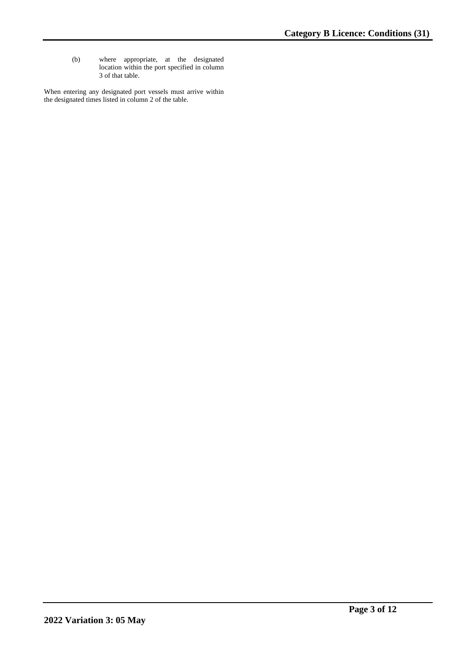(b) where appropriate, at the designated location within the port specified in column 3 of that table.

When entering any designated port vessels must arrive within the designated times listed in column 2 of the table.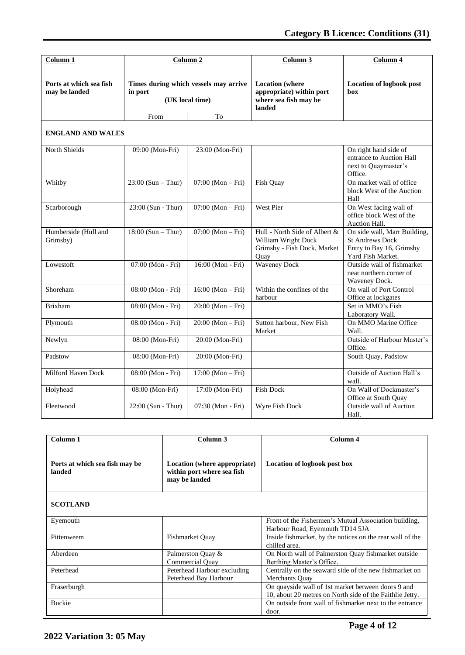| Column 1                                 |                      | Column 2                                                       | Column 3                                                                                    | Column 4                                                                                                |
|------------------------------------------|----------------------|----------------------------------------------------------------|---------------------------------------------------------------------------------------------|---------------------------------------------------------------------------------------------------------|
| Ports at which sea fish<br>may be landed | in port<br>From      | Times during which vessels may arrive<br>(UK local time)<br>To | <b>Location</b> (where<br>appropriate) within port<br>where sea fish may be<br>landed       | <b>Location of logbook post</b><br>box                                                                  |
|                                          |                      |                                                                |                                                                                             |                                                                                                         |
| <b>ENGLAND AND WALES</b>                 |                      |                                                                |                                                                                             |                                                                                                         |
| North Shields                            | 09:00 (Mon-Fri)      | 23:00 (Mon-Fri)                                                |                                                                                             | On right hand side of<br>entrance to Auction Hall<br>next to Quaymaster's<br>Office.                    |
| Whitby                                   | $23:00$ (Sun – Thur) | $07:00 (Mon-Fri)$                                              | Fish Quay                                                                                   | On market wall of office<br>block West of the Auction<br>Hall                                           |
| Scarborough                              | 23:00 (Sun - Thur)   | $07:00 (Mon-Fri)$                                              | West Pier                                                                                   | On West facing wall of<br>office block West of the<br>Auction Hall.                                     |
| Humberside (Hull and<br>Grimsby)         | $18:00$ (Sun – Thur) | $07:00 (Mon-Fri)$                                              | Hull - North Side of Albert &<br>William Wright Dock<br>Grimsby - Fish Dock, Market<br>Quay | On side wall, Marr Building,<br><b>St Andrews Dock</b><br>Entry to Bay 16, Grimsby<br>Yard Fish Market. |
| Lowestoft                                | 07:00 (Mon - Fri)    | 16:00 (Mon - Fri)                                              | <b>Waveney Dock</b>                                                                         | Outside wall of fishmarket<br>near northern corner of<br>Waveney Dock.                                  |
| Shoreham                                 | 08:00 (Mon - Fri)    | $16:00 (Mon-Fri)$                                              | Within the confines of the<br>harbour                                                       | On wall of Port Control<br>Office at lockgates                                                          |
| <b>Brixham</b>                           | 08:00 (Mon - Fri)    | $20:00 (Mon-Fri)$                                              |                                                                                             | Set in MMO's Fish<br>Laboratory Wall.                                                                   |
| Plymouth                                 | 08:00 (Mon - Fri)    | $20:00 (Mon-Fri)$                                              | Sutton harbour, New Fish<br>Market                                                          | On MMO Marine Office<br>Wall.                                                                           |
| Newlyn                                   | 08:00 (Mon-Fri)      | 20:00 (Mon-Fri)                                                |                                                                                             | Outside of Harbour Master's<br>Office.                                                                  |
| Padstow                                  | 08:00 (Mon-Fri)      | 20:00 (Mon-Fri)                                                |                                                                                             | South Quay, Padstow                                                                                     |
| Milford Haven Dock                       | 08:00 (Mon - Fri)    | $17:00 (Mon-Fri)$                                              |                                                                                             | <b>Outside of Auction Hall's</b><br>wall.                                                               |
| Holyhead                                 | 08:00 (Mon-Fri)      | 17:00 (Mon-Fri)                                                | <b>Fish Dock</b>                                                                            | On Wall of Dockmaster's<br>Office at South Quay                                                         |
| Fleetwood                                | $22:00$ (Sun - Thur) | 07:30 (Mon - Fri)                                              | Wyre Fish Dock                                                                              | <b>Outside wall of Auction</b><br>Hall.                                                                 |

| Column 1                                 | Column 3                                                                    | Column 4                                                                                                       |
|------------------------------------------|-----------------------------------------------------------------------------|----------------------------------------------------------------------------------------------------------------|
| Ports at which sea fish may be<br>landed | Location (where appropriate)<br>within port where sea fish<br>may be landed | Location of logbook post box                                                                                   |
| <b>SCOTLAND</b>                          |                                                                             |                                                                                                                |
| Eyemouth                                 |                                                                             | Front of the Fishermen's Mutual Association building,<br>Harbour Road, Eyemouth TD14 5JA                       |
| Pittenweem                               | Fishmarket Quay                                                             | Inside fishmarket, by the notices on the rear wall of the<br>chilled area.                                     |
| Aberdeen                                 | Palmerston Quay &<br><b>Commercial Ouay</b>                                 | On North wall of Palmerston Quay fishmarket outside<br>Berthing Master's Office.                               |
| Peterhead                                | Peterhead Harbour excluding<br>Peterhead Bay Harbour                        | Centrally on the seaward side of the new fishmarket on<br>Merchants Ouay                                       |
| Fraserburgh                              |                                                                             | On quayside wall of 1st market between doors 9 and<br>10, about 20 metres on North side of the Faithlie Jetty. |
| <b>Buckie</b>                            |                                                                             | On outside front wall of fishmarket next to the entrance<br>door.                                              |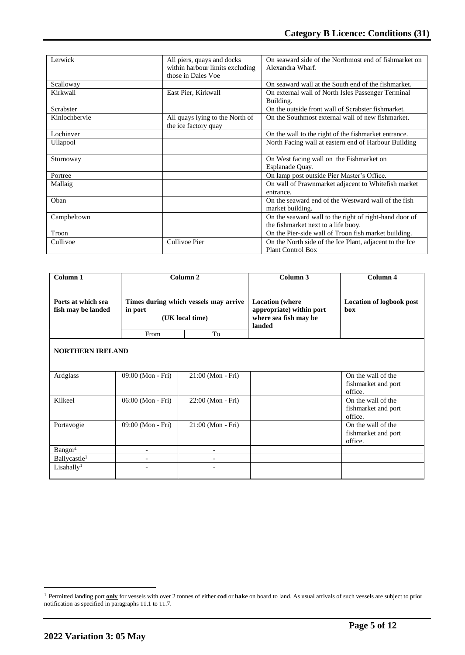| Lerwick       | All piers, quays and docks      | On seaward side of the Northmost end of fishmarket on   |  |
|---------------|---------------------------------|---------------------------------------------------------|--|
|               | within harbour limits excluding | Alexandra Wharf.                                        |  |
|               | those in Dales Voe              |                                                         |  |
| Scalloway     |                                 | On seaward wall at the South end of the fishmarket.     |  |
| Kirkwall      | East Pier, Kirkwall             | On external wall of North Isles Passenger Terminal      |  |
|               |                                 | Building.                                               |  |
| Scrabster     |                                 | On the outside front wall of Scrabster fishmarket.      |  |
| Kinlochbervie | All quays lying to the North of | On the Southmost external wall of new fishmarket.       |  |
|               | the ice factory quay            |                                                         |  |
| Lochinver     |                                 | On the wall to the right of the fishmarket entrance.    |  |
| Ullapool      |                                 | North Facing wall at eastern end of Harbour Building    |  |
|               |                                 |                                                         |  |
| Stornoway     |                                 | On West facing wall on the Fishmarket on                |  |
|               |                                 | Esplanade Quay.                                         |  |
| Portree       |                                 | On lamp post outside Pier Master's Office.              |  |
| Mallaig       |                                 | On wall of Prawnmarket adjacent to Whitefish market     |  |
|               |                                 | entrance.                                               |  |
| Oban          |                                 | On the seaward end of the Westward wall of the fish     |  |
|               |                                 | market building.                                        |  |
| Campbeltown   |                                 | On the seaward wall to the right of right-hand door of  |  |
|               |                                 | the fishmarket next to a life buoy.                     |  |
| Troon         |                                 | On the Pier-side wall of Troon fish market building.    |  |
| Cullivoe      | Cullivoe Pier                   | On the North side of the Ice Plant, adjacent to the Ice |  |
|               |                                 | <b>Plant Control Box</b>                                |  |

| Column <sub>1</sub>                      |                                                                     | Column <sub>2</sub>      | Column 3                                                                              | Column 4                                             |
|------------------------------------------|---------------------------------------------------------------------|--------------------------|---------------------------------------------------------------------------------------|------------------------------------------------------|
| Ports at which sea<br>fish may be landed | Times during which vessels may arrive<br>in port<br>(UK local time) |                          | <b>Location</b> (where<br>appropriate) within port<br>where sea fish may be<br>landed | <b>Location of logbook post</b><br><b>box</b>        |
|                                          | From                                                                | To                       |                                                                                       |                                                      |
| <b>NORTHERN IRELAND</b>                  |                                                                     |                          |                                                                                       |                                                      |
| Ardglass                                 | 09:00 (Mon - Fri)                                                   | 21:00 (Mon - Fri)        |                                                                                       | On the wall of the<br>fishmarket and port<br>office. |
| Kilkeel                                  | 06:00 (Mon - Fri)                                                   | 22:00 (Mon - Fri)        |                                                                                       | On the wall of the<br>fishmarket and port<br>office. |
| Portavogie                               | 09:00 (Mon - Fri)                                                   | 21:00 (Mon - Fri)        |                                                                                       | On the wall of the<br>fishmarket and port<br>office. |
| Bangor <sup>1</sup>                      | $\overline{a}$                                                      | $\overline{\phantom{0}}$ |                                                                                       |                                                      |
| Ballycastle <sup>1</sup>                 |                                                                     |                          |                                                                                       |                                                      |
| Lisahally <sup>1</sup>                   | $\overline{a}$                                                      | ۰                        |                                                                                       |                                                      |

<sup>1</sup> Permitted landing port **only** for vessels with over 2 tonnes of either **cod** or **hake** on board to land. As usual arrivals of such vessels are subject to prior notification as specified in paragraphs 11.1 to 11.7.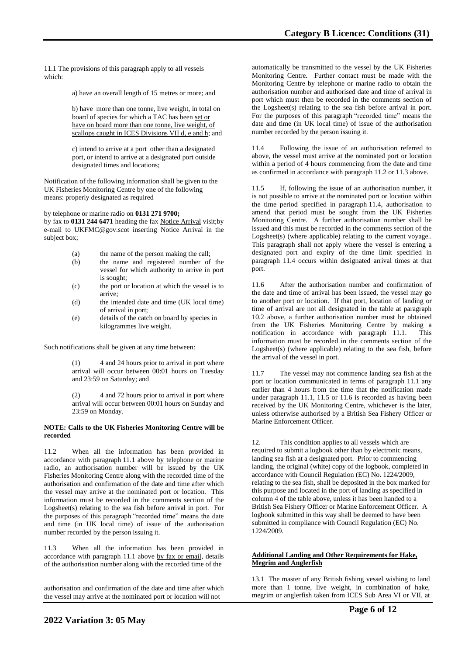11.1 The provisions of this paragraph apply to all vessels which:

a) have an overall length of 15 metres or more; and

b) have more than one tonne, live weight, in total on board of species for which a TAC has been set or have on board more than one tonne, live weight, of scallops caught in ICES Divisions VII d, e and h; and

c) intend to arrive at a port other than a designated port, or intend to arrive at a designated port outside designated times and locations;

Notification of the following information shall be given to the UK Fisheries Monitoring Centre by one of the following means: properly designated as required

#### by telephone or marine radio on **0131 271 9700;**

by fax to **0131 244 6471** heading the fax Notice Arrival visit;by e-mail to [UKFMC@gov.scot](mailto:UKFCC@scotland.gsi.gov.uk) inserting Notice Arrival in the subject box;

- (a) the name of the person making the call;
- (b) the name and registered number of the vessel for which authority to arrive in port is sought;
- (c) the port or location at which the vessel is to arrive;
- (d) the intended date and time (UK local time) of arrival in port;
- (e) details of the catch on board by species in kilogrammes live weight.

Such notifications shall be given at any time between:

(1) 4 and 24 hours prior to arrival in port where arrival will occur between 00:01 hours on Tuesday and 23:59 on Saturday; and

(2) 4 and 72 hours prior to arrival in port where arrival will occur between 00:01 hours on Sunday and 23:59 on Monday.

#### **NOTE: Calls to the UK Fisheries Monitoring Centre will be recorded**

11.2 When all the information has been provided in accordance with paragraph 11.1 above by telephone or marine radio, an authorisation number will be issued by the UK Fisheries Monitoring Centre along with the recorded time of the authorisation and confirmation of the date and time after which the vessel may arrive at the nominated port or location. This information must be recorded in the comments section of the Logsheet(s) relating to the sea fish before arrival in port. For the purposes of this paragraph "recorded time" means the date and time (in UK local time) of issue of the authorisation number recorded by the person issuing it.

11.3 When all the information has been provided in accordance with paragraph 11.1 above by fax or email, details of the authorisation number along with the recorded time of the

authorisation and confirmation of the date and time after which the vessel may arrive at the nominated port or location will not

automatically be transmitted to the vessel by the UK Fisheries Monitoring Centre. Further contact must be made with the Monitoring Centre by telephone or marine radio to obtain the authorisation number and authorised date and time of arrival in port which must then be recorded in the comments section of the Logsheet(s) relating to the sea fish before arrival in port. For the purposes of this paragraph "recorded time" means the date and time (in UK local time) of issue of the authorisation number recorded by the person issuing it.

11.4 Following the issue of an authorisation referred to above, the vessel must arrive at the nominated port or location within a period of 4 hours commencing from the date and time as confirmed in accordance with paragraph 11.2 or 11.3 above.

11.5 If, following the issue of an authorisation number, it is not possible to arrive at the nominated port or location within the time period specified in paragraph 11.4, authorisation to amend that period must be sought from the UK Fisheries Monitoring Centre. A further authorisation number shall be issued and this must be recorded in the comments section of the Logsheet(s) (where applicable) relating to the current voyage... This paragraph shall not apply where the vessel is entering a designated port and expiry of the time limit specified in paragraph 11.4 occurs within designated arrival times at that port.

11.6 After the authorisation number and confirmation of the date and time of arrival has been issued, the vessel may go to another port or location. If that port, location of landing or time of arrival are not all designated in the table at paragraph 10.2 above, a further authorisation number must be obtained from the UK Fisheries Monitoring Centre by making a notification in accordance with paragraph 11.1. This information must be recorded in the comments section of the Logsheet(s) (where applicable) relating to the sea fish, before the arrival of the vessel in port.

11.7 The vessel may not commence landing sea fish at the port or location communicated in terms of paragraph 11.1 any earlier than 4 hours from the time that the notification made under paragraph 11.1, 11.5 or 11.6 is recorded as having been received by the UK Monitoring Centre, whichever is the later, unless otherwise authorised by a British Sea Fishery Officer or Marine Enforcement Officer.

12. This condition applies to all vessels which are required to submit a logbook other than by electronic means, landing sea fish at a designated port. Prior to commencing landing, the original (white) copy of the logbook, completed in accordance with Council Regulation (EC) No. 1224/2009, relating to the sea fish, shall be deposited in the box marked for this purpose and located in the port of landing as specified in column 4 of the table above, unless it has been handed to a British Sea Fishery Officer or Marine Enforcement Officer. A logbook submitted in this way shall be deemed to have been submitted in compliance with Council Regulation (EC) No. 1224/2009.

### **Additional Landing and Other Requirements for Hake, Megrim and Anglerfish**

13.1 The master of any British fishing vessel wishing to land more than 1 tonne, live weight, in combination of hake, megrim or anglerfish taken from ICES Sub Area VI or VII, at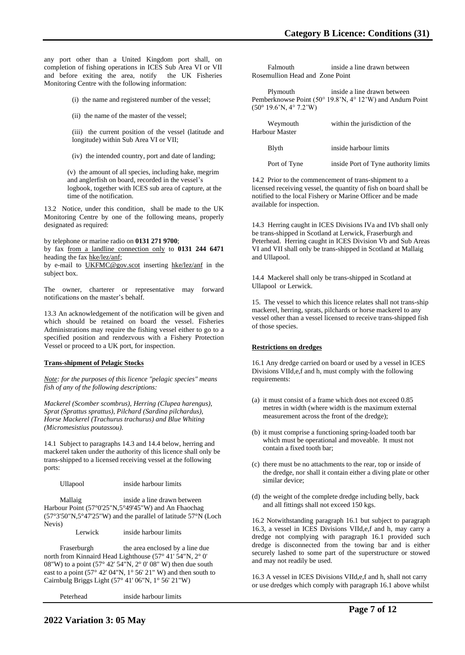any port other than a United Kingdom port shall, on completion of fishing operations in ICES Sub Area VI or VII and before exiting the area, notify the UK Fisheries Monitoring Centre with the following information:

(i) the name and registered number of the vessel;

(ii) the name of the master of the vessel;

(iii) the current position of the vessel (latitude and longitude) within Sub Area VI or VII;

(iv) the intended country, port and date of landing;

(v) the amount of all species, including hake, megrim and anglerfish on board, recorded in the vessel's logbook, together with ICES sub area of capture, at the time of the notification.

13.2 Notice, under this condition, shall be made to the UK Monitoring Centre by one of the following means, properly designated as required:

by telephone or marine radio on **0131 271 9700**;

by fax from a landline connection only to **0131 244 6471** heading the fax hke/lez/anf;

by e-mail to UKFMC@gov.scot inserting hke/lez/anf in the subject box.

The owner, charterer or representative may forward notifications on the master's behalf.

13.3 An acknowledgement of the notification will be given and which should be retained on board the vessel. Fisheries Administrations may require the fishing vessel either to go to a specified position and rendezvous with a Fishery Protection Vessel or proceed to a UK port, for inspection.

#### **Trans-shipment of Pelagic Stocks**

*Note: for the purposes of this licence "pelagic species" means fish of any of the following descriptions:* 

*Mackerel (Scomber scombrus), Herring (Clupea harengus), Sprat (Sprattus sprattus), Pilchard (Sardina pilchardus), Horse Mackerel (Trachurus trachurus) and Blue Whiting (Micromesistius poutassou).*

14.1 Subject to paragraphs 14.3 and 14.4 below, herring and mackerel taken under the authority of this licence shall only be trans-shipped to a licensed receiving vessel at the following ports:

Ullapool inside harbour limits

Mallaig inside a line drawn between Harbour Point (57°0'25"N,5°49'45"W) and An Fhaochag (57°3'50"N,5°47'25"W) and the parallel of latitude 57°N (Loch Nevis)

Lerwick inside harbour limits

Fraserburgh the area enclosed by a line due north from Kinnaird Head Lighthouse (57° 41' 54"N, 2° 0' 08"W) to a point (57° 42' 54"N, 2° 0' 08" W) then due south east to a point (57° 42' 04"N, 1° 56' 21" W) and then south to Cairnbulg Briggs Light (57° 41' 06"N, 1° 56' 21"W)

Peterhead inside harbour limits

| Falmouth                        | inside a line drawn between |
|---------------------------------|-----------------------------|
| Rosemullion Head and Zone Point |                             |

 Plymouth inside a line drawn between Pemberknowse Point (50° 19.8'N, 4° 12'W) and Andurn Point (50° 19.6'N, 4° 7.2'W)

| Weymouth<br>Harbour Master | within the jurisdiction of the       |
|----------------------------|--------------------------------------|
| <b>B</b> lyth              | inside harbour limits                |
| Port of Tyne               | inside Port of Tyne authority limits |

14.2 Prior to the commencement of trans-shipment to a licensed receiving vessel, the quantity of fish on board shall be notified to the local Fishery or Marine Officer and be made available for inspection.

14.3 Herring caught in ICES Divisions IVa and IVb shall only be trans-shipped in Scotland at Lerwick, Fraserburgh and Peterhead. Herring caught in ICES Division Vb and Sub Areas VI and VII shall only be trans-shipped in Scotland at Mallaig and Ullapool.

14.4 Mackerel shall only be trans-shipped in Scotland at Ullapool or Lerwick.

15. The vessel to which this licence relates shall not trans-ship mackerel, herring, sprats, pilchards or horse mackerel to any vessel other than a vessel licensed to receive trans-shipped fish of those species.

#### **Restrictions on dredges**

16.1 Any dredge carried on board or used by a vessel in ICES Divisions VIId,e,f and h, must comply with the following requirements:

- (a) it must consist of a frame which does not exceed 0.85 metres in width (where width is the maximum external measurement across the front of the dredge);
- (b) it must comprise a functioning spring-loaded tooth bar which must be operational and moveable. It must not contain a fixed tooth bar;
- (c) there must be no attachments to the rear, top or inside of the dredge, nor shall it contain either a diving plate or other similar device;
- (d) the weight of the complete dredge including belly, back and all fittings shall not exceed 150 kgs.

16.2 Notwithstanding paragraph 16.1 but subject to paragraph 16.3, a vessel in ICES Divisions VIId,e,f and h, may carry a dredge not complying with paragraph 16.1 provided such dredge is disconnected from the towing bar and is either securely lashed to some part of the superstructure or stowed and may not readily be used.

16.3 A vessel in ICES Divisions VIId,e,f and h, shall not carry or use dredges which comply with paragraph 16.1 above whilst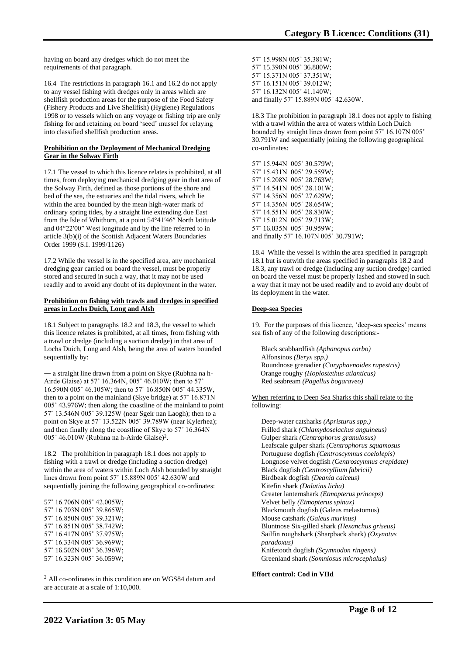having on board any dredges which do not meet the requirements of that paragraph.

16.4 The restrictions in paragraph 16.1 and 16.2 do not apply to any vessel fishing with dredges only in areas which are shellfish production areas for the purpose of the Food Safety (Fishery Products and Live Shellfish) (Hygiene) Regulations 1998 or to vessels which on any voyage or fishing trip are only fishing for and retaining on board 'seed' mussel for relaying into classified shellfish production areas.

#### **Prohibition on the Deployment of Mechanical Dredging Gear in the Solway Firth**

17.1 The vessel to which this licence relates is prohibited, at all times, from deploying mechanical dredging gear in that area of the Solway Firth, defined as those portions of the shore and bed of the sea, the estuaries and the tidal rivers, which lie within the area bounded by the mean high-water mark of ordinary spring tides, by a straight line extending due East from the Isle of Whithorn, at a point 54°41′46″ North latitude and 04°22′00″ West longitude and by the line referred to in article 3(b)(i) of the Scottish Adjacent Waters Boundaries Order 1999 (S.I. 1999/1126)

17.2 While the vessel is in the specified area, any mechanical dredging gear carried on board the vessel, must be properly stored and secured in such a way, that it may not be used readily and to avoid any doubt of its deployment in the water.

#### **Prohibition on fishing with trawls and dredges in specified areas in Lochs Duich, Long and Alsh**

18.1 Subject to paragraphs 18.2 and 18.3, the vessel to which this licence relates is prohibited, at all times, from fishing with a trawl or dredge (including a suction dredge) in that area of Lochs Duich, Long and Alsh, being the area of waters bounded sequentially by:

― a straight line drawn from a point on Skye (Rubhna na h-Airde Glaise) at 57˚ 16.364N, 005˚ 46.010W; then to 57˚ 16.590N 005˚ 46.105W; then to 57˚ 16.850N 005˚ 44.335W, then to a point on the mainland (Skye bridge) at 57˚ 16.871N 005˚ 43.976W; then along the coastline of the mainland to point 57˚ 13.546N 005˚ 39.125W (near Sgeir nan Laogh); then to a point on Skye at 57˚ 13.522N 005˚ 39.789W (near Kylerhea); and then finally along the coastline of Skye to 57˚ 16.364N 005° 46.010W (Rubhna na h-Airde Glaise)<sup>2</sup>.

18.2 The prohibition in paragraph 18.1 does not apply to fishing with a trawl or dredge (including a suction dredge) within the area of waters within Loch Alsh bounded by straight lines drawn from point 57˚ 15.889N 005˚ 42.630W and sequentially joining the following geographical co-ordinates:

57˚ 16.706N 005˚ 42.005W; 57˚ 16.703N 005˚ 39.865W; 57˚ 16.850N 005˚ 39.321W; 57˚ 16.851N 005˚ 38.742W; 57˚ 16.417N 005˚ 37.975W; 57˚ 16.334N 005˚ 36.969W; 57˚ 16.502N 005˚ 36.396W; 57˚ 16.323N 005˚ 36.059W;

<sup>2</sup> All co-ordinates in this condition are on WGS84 datum and are accurate at a scale of 1:10,000.

57˚ 15.998N 005˚ 35.381W; 57˚ 15.390N 005˚ 36.880W; 57˚ 15.371N 005˚ 37.351W; 57˚ 16.151N 005˚ 39.012W; 57˚ 16.132N 005˚ 41.140W; and finally 57˚ 15.889N 005˚ 42.630W.

18.3 The prohibition in paragraph 18.1 does not apply to fishing with a trawl within the area of waters within Loch Duich bounded by straight lines drawn from point 57˚ 16.107N 005˚ 30.791W and sequentially joining the following geographical co-ordinates:

57˚ 15.944N 005˚ 30.579W; 57˚ 15.431N 005˚ 29.559W; 57˚ 15.208N 005˚ 28.763W; 57˚ 14.541N 005˚ 28.101W; 57˚ 14.356N 005˚ 27.629W; 57˚ 14.356N 005˚ 28.654W; 57˚ 14.551N 005˚ 28.830W; 57˚ 15.012N 005˚ 29.713W; 57˚ 16.035N 005˚ 30.959W; and finally 57˚ 16.107N 005˚ 30.791W;

18.4 While the vessel is within the area specified in paragraph 18.1 but is outwith the areas specified in paragraphs 18.2 and 18.3, any trawl or dredge (including any suction dredge) carried on board the vessel must be properly lashed and stowed in such a way that it may not be used readily and to avoid any doubt of its deployment in the water.

## **Deep-sea Species**

19. For the purposes of this licence, 'deep-sea species' means sea fish of any of the following descriptions:-

Black scabbardfish *(Aphanopus carbo)* Alfonsinos *(Beryx spp.)* Roundnose grenadier *(Coryphaenoides rupestris)* Orange roughy *(Hoplostethus atlanticus)* Red seabream *(Pagellus bogaraveo)*

When referring to Deep Sea Sharks this shall relate to the following:

Deep-water catsharks *(Apristurus spp.)* Frilled shark *(Chlamydoselachus anguineus)* Gulper shark *(Centrophorus granulosus)* Leafscale gulper shark *(Centrophorus squamosus* Portuguese dogfish *(Centroscymnus coelolepis)* Longnose velvet dogfish *(Centroscymnus crepidate)* Black dogfish *(Centroscyllium fabricii)* Birdbeak dogfish *(Deania calceus)* Kitefin shark *(Dalatias licha)* Greater lanternshark *(Etmopterus princeps)* Velvet belly *(Etmopterus spinax)* Blackmouth dogfish (Galeus melastomus) Mouse catshark *(Galeus murinus)* Bluntnose Six-gilled shark *(Hexanchus griseus)* Sailfin roughshark (Sharpback shark) *(Oxynotus paradoxus)* Knifetooth dogfish *(Scymnodon ringens)* Greenland shark *(Somniosus microcephalus)*

#### **Effort control: Cod in VIId**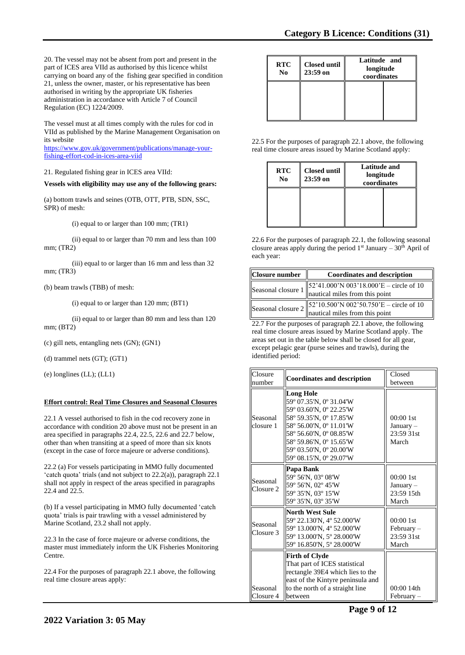20. The vessel may not be absent from port and present in the part of ICES area VIId as authorised by this licence whilst carrying on board any of the fishing gear specified in condition 21, unless the owner, master, or his representative has been authorised in writing by the appropriate UK fisheries administration in accordance with Article 7 of Council Regulation (EC) 1224/2009.

The vessel must at all times comply with the rules for cod in VIId as published by the Marine Management Organisation on its website

[https://www.gov.uk/government/publications/manage-your](https://www.gov.uk/government/publications/manage-your-fishing-effort-cod-in-ices-area-viid)[fishing-effort-cod-in-ices-area-viid](https://www.gov.uk/government/publications/manage-your-fishing-effort-cod-in-ices-area-viid)

21. Regulated fishing gear in ICES area VIId:

**Vessels with eligibility may use any of the following gears:**

(a) bottom trawls and seines (OTB, OTT, PTB, SDN, SSC, SPR) of mesh:

(i) equal to or larger than 100 mm; (TR1)

(ii) equal to or larger than 70 mm and less than 100 mm; (TR2)

(iii) equal to or larger than 16 mm and less than 32 mm; (TR3)

(b) beam trawls (TBB) of mesh:

(i) equal to or larger than 120 mm; (BT1)

(ii) equal to or larger than 80 mm and less than 120 mm; (BT2)

(c) gill nets, entangling nets (GN); (GN1)

(d) trammel nets (GT); (GT1)

(e) longlines (LL); (LL1)

## **Effort control: Real Time Closures and Seasonal Closures**

22.1 A vessel authorised to fish in the cod recovery zone in accordance with condition 20 above must not be present in an area specified in paragraphs 22.4, 22.5, 22.6 and 22.7 below, other than when transiting at a speed of more than six knots (except in the case of force majeure or adverse conditions).

22.2 (a) For vessels participating in MMO fully documented 'catch quota' trials (and not subject to 22.2(a)), paragraph 22.1 shall not apply in respect of the areas specified in paragraphs 22.4 and 22.5.

(b) If a vessel participating in MMO fully documented 'catch quota' trials is pair trawling with a vessel administered by Marine Scotland, 23.2 shall not apply.

22.3 In the case of force majeure or adverse conditions, the master must immediately inform the UK Fisheries Monitoring Centre.

22.4 For the purposes of paragraph 22.1 above, the following real time closure areas apply:

| <b>RTC</b><br>N <sub>0</sub> | <b>Closed until</b><br>$23:59$ on | Latitude and<br>longitude<br>coordinates |  |
|------------------------------|-----------------------------------|------------------------------------------|--|
|                              |                                   |                                          |  |

22.5 For the purposes of paragraph 22.1 above, the following real time closure areas issued by Marine Scotland apply:

| <b>RTC</b><br>N <sub>0</sub> | <b>Closed until</b><br>$23:59$ on | Latitude and<br>longitude<br>coordinates |  |
|------------------------------|-----------------------------------|------------------------------------------|--|
|                              |                                   |                                          |  |

22.6 For the purposes of paragraph 22.1, the following seasonal closure areas apply during the period  $1<sup>st</sup>$  January –  $30<sup>th</sup>$  April of each year:

| Closure number             | <b>Coordinates and description</b>                                                                                                                                          |
|----------------------------|-----------------------------------------------------------------------------------------------------------------------------------------------------------------------------|
| Seasonal closure $1\ _2^5$ | $\begin{bmatrix} 52'41.000'N 003'18.000'E - circle of 10 \\ nautical miles from this point \end{bmatrix}$                                                                   |
| Seasonal closure $2$       | $\begin{array}{c} \n\begin{bmatrix} 52'10.500' \text{N} & 002'50.750' \text{E} - \text{circle of } 10 \\ \text{nautical miles from this point} \end{bmatrix} \n\end{array}$ |

22.7 For the purposes of paragraph 22.1 above, the following real time closure areas issued by Marine Scotland apply. The areas set out in the table below shall be closed for all gear, except pelagic gear (purse seines and trawls), during the identified period:

| Closure               | <b>Coordinates and description</b>                                                                                                                                                                                                       | Closed                                             |
|-----------------------|------------------------------------------------------------------------------------------------------------------------------------------------------------------------------------------------------------------------------------------|----------------------------------------------------|
| number                |                                                                                                                                                                                                                                          | between                                            |
| Seasonal<br>closure 1 | <b>Long Hole</b><br>59° 07.35'N, 0° 31.04'W<br>59° 03.60'N, 0° 22.25'W<br>58° 59.35'N, 0° 17.85'W<br>58° 56.00'N, 0° 11.01'W<br>58° 56.60'N, 0° 08.85'W<br>58° 59.86'N, 0° 15.65'W<br>59° 03.50'N, 0° 20.00'W<br>59° 08.15'N, 0° 29.07'W | $00:001$ st<br>January –<br>23:59 31st<br>March    |
| Seasonal<br>Closure 2 | Papa Bank<br>59° 56'N, 03° 08'W<br>59° 56'N, 02° 45'W<br>59° 35'N, 03° 15'W<br>59° 35'N, 03° 35'W                                                                                                                                        | 00:00 1st<br>January –<br>23:59 15th<br>March      |
| Seasonal<br>Closure 3 | <b>North West Sule</b><br>59° 22.130'N, 4° 52.000'W<br>59° 13.000'N, 4° 52.000'W<br>59° 13.000'N, 5° 28.000'W<br>59° 16.850'N, 5° 28.000'W                                                                                               | $00:001$ st<br>$February -$<br>23:59 31st<br>March |
| Seasonal<br>Closure 4 | Firth of Clyde<br>That part of ICES statistical<br>rectangle 39E4 which lies to the<br>east of the Kintyre peninsula and<br>to the north of a straight line<br>between                                                                   | $00:0014$ th<br>February-                          |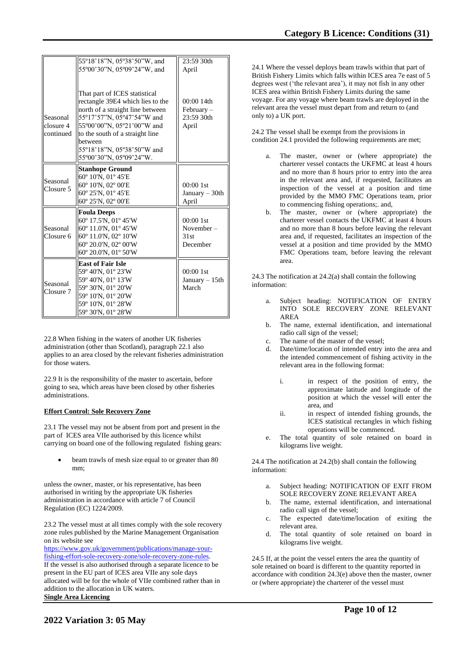|                                    | 55°18'18"N, 05°38'50"W, and                                                                                                                                                                          | 23:59 30th                                          |
|------------------------------------|------------------------------------------------------------------------------------------------------------------------------------------------------------------------------------------------------|-----------------------------------------------------|
|                                    | 55°00'30"N, 05°09'24"W, and                                                                                                                                                                          | April                                               |
| Seasonal<br>closure 4<br>continued | That part of ICES statistical<br>rectangle 39E4 which lies to the<br>north of a straight line between<br>55°17'57"N, 05°47'54"W and<br>55°00'00"N, 05°21'00"W and<br>to the south of a straight line | $00:0014$ th<br>$February -$<br>23:59 30th<br>April |
|                                    | between                                                                                                                                                                                              |                                                     |
|                                    | 55°18'18"N, 05°38'50"W and                                                                                                                                                                           |                                                     |
|                                    | 55°00'30"N, 05°09'24"W.                                                                                                                                                                              |                                                     |
| Seasonal<br>Closure 5              | <b>Stanhope Ground</b><br>60° 10'N, 01° 45'E<br>60° 10'N, 02° 00'E<br>60° 25'N, 01° 45'E<br>60° 25'N, 02° 00'E                                                                                       | $00:00$ 1st<br>January $-30$ th<br>April            |
| Seasonal<br>Closure 6              | <b>Foula Deeps</b><br>60° 17.5'N, 01° 45'W<br>60° 11.0'N, 01° 45'W<br>60° 11.0'N, 02° 10'W<br>60° 20.0'N, 02° 00'W<br>$60^{\circ}$ 20.0'N, 01 $^{\circ}$ 50'W                                        | 00:00 1st<br>November $-$<br>31st<br>December       |
| Seasonal<br>Closure 7              | <b>East of Fair Isle</b><br>59° 40'N, 01° 23'W<br>59° 40'N, 01° 13'W<br>59° 30'N, 01° 20'W<br>59° 10'N, 01° 20'W<br>59° 10'N, 01° 28'W<br>59° 30'N, 01° 28'W                                         | $00:001$ st<br>January $-15$ th<br>March            |

22.8 When fishing in the waters of another UK fisheries administration (other than Scotland), paragraph 22.1 also applies to an area closed by the relevant fisheries administration for those waters.

22.9 It is the responsibility of the master to ascertain, before going to sea, which areas have been closed by other fisheries administrations.

#### **Effort Control: Sole Recovery Zone**

23.1 The vessel may not be absent from port and present in the part of ICES area VIIe authorised by this licence whilst carrying on board one of the following regulated fishing gears:

beam trawls of mesh size equal to or greater than 80 mm;

unless the owner, master, or his representative, has been authorised in writing by the appropriate UK fisheries administration in accordance with article 7 of Council Regulation (EC) 1224/2009.

23.2 The vessel must at all times comply with the sole recovery zone rules published by the Marine Management Organisation on its website see

[https://www.gov.uk/government/publications/manage-your](https://www.gov.uk/government/publications/manage-your-fishing-effort-sole-recovery-zone/sole-recovery-zone-rules)[fishing-effort-sole-recovery-zone/sole-recovery-zone-rules.](https://www.gov.uk/government/publications/manage-your-fishing-effort-sole-recovery-zone/sole-recovery-zone-rules) If the vessel is also authorised through a separate licence to be present in the EU part of ICES area VIIe any sole days allocated will be for the whole of VIIe combined rather than in addition to the allocation in UK waters. **Single Area Licencing** 

24.1 Where the vessel deploys beam trawls within that part of British Fishery Limits which falls within ICES area 7e east of 5 degrees west ('the relevant area'), it may not fish in any other ICES area within British Fishery Limits during the same voyage. For any voyage where beam trawls are deployed in the relevant area the vessel must depart from and return to (and only to) a UK port.

24.2 The vessel shall be exempt from the provisions in condition 24.1 provided the following requirements are met;

- The master, owner or (where appropriate) the charterer vessel contacts the UKFMC at least 4 hours and no more than 8 hours prior to entry into the area in the relevant area and, if requested, facilitates an inspection of the vessel at a position and time provided by the MMO FMC Operations team, prior to commencing fishing operations;. and,
- b. The master, owner or (where appropriate) the charterer vessel contacts the UKFMC at least 4 hours and no more than 8 hours before leaving the relevant area and, if requested, facilitates an inspection of the vessel at a position and time provided by the MMO FMC Operations team, before leaving the relevant area.

24.3 The notification at 24.2(a) shall contain the following information:

- Subject heading: NOTIFICATION OF ENTRY INTO SOLE RECOVERY ZONE RELEVANT AREA
- b. The name, external identification, and international radio call sign of the vessel;
- c. The name of the master of the vessel;<br>d. Date/time/location of intended entry i
- Date/time/location of intended entry into the area and the intended commencement of fishing activity in the relevant area in the following format:
	- i. in respect of the position of entry, the approximate latitude and longitude of the position at which the vessel will enter the area, and
	- ii. in respect of intended fishing grounds, the ICES statistical rectangles in which fishing operations will be commenced.
- e. The total quantity of sole retained on board in kilograms live weight.

24.4 The notification at 24.2(b) shall contain the following information:

- a. Subject heading: NOTIFICATION OF EXIT FROM SOLE RECOVERY ZONE RELEVANT AREA
- b. The name, external identification, and international radio call sign of the vessel;
- c. The expected date/time/location of exiting the relevant area.
- d. The total quantity of sole retained on board in kilograms live weight.

24.5 If, at the point the vessel enters the area the quantity of sole retained on board is different to the quantity reported in accordance with condition 24.3(e) above then the master, owner or (where appropriate) the charterer of the vessel must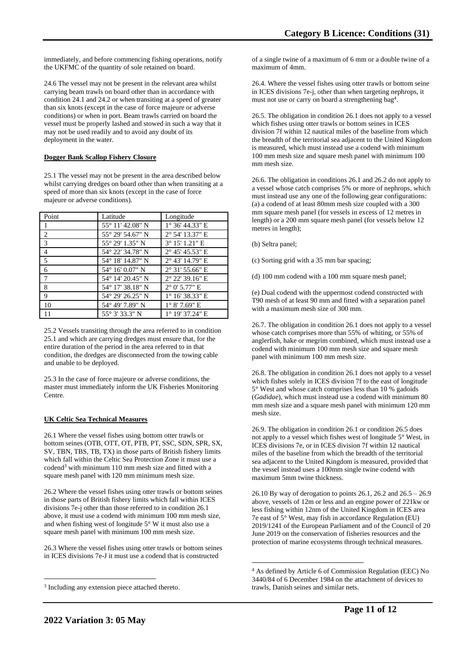immediately, and before commencing fishing operations, notify the UKFMC of the quantity of sole retained on board.

24.6 The vessel may not be present in the relevant area whilst carrying beam trawls on board other than in accordance with condition 24.1 and 24.2 or when transiting at a speed of greater than six knots (except in the case of force majeure or adverse conditions) or when in port. Beam trawls carried on board the vessel must be properly lashed and stowed in such a way that it may not be used readily and to avoid any doubt of its deployment in the water.

### **Dogger Bank Scallop Fishery Closure**

25.1 The vessel may not be present in the area described below whilst carrying dredges on board other than when transiting at a speed of more than six knots (except in the case of force majeure or adverse conditions).

| Point          | Latitude         | Longitude                |
|----------------|------------------|--------------------------|
| 1              | 55° 11′ 42.08" N | $1^{\circ}$ 36' 44.33" E |
| 2              | 55° 29′ 54.67″ N | 2° 54' 13.37" E          |
| 3              | 55° 29′ 1.35″ N  | $3^{\circ}$ 15' 1.21" E  |
| $\overline{4}$ | 54° 22′ 34.78″ N | $2^{\circ}$ 45' 45.53" E |
| 5              | 54° 18′ 14.87″ N | $2^{\circ}$ 43' 14.79" E |
| 6              | 54° 16′ 0.07″ N  | $2^{\circ}$ 31' 55.66" E |
| 7              | 54° 14′ 20.45″ N | 2° 22' 39.16" E          |
| 8              | 54° 17′ 38.18″ N | $2^{\circ}$ 0' 5.77" E   |
| 9              | 54° 29′ 26.25″ N | $1^{\circ}$ 16' 38.33" E |
| 10             | 54° 49' 7.89" N  | $1^{\circ}$ 8' 7.69" E   |
| 11             | 55° 3′ 33.3″ N   | $1^{\circ}$ 19' 37.24" E |

25.2 Vessels transiting through the area referred to in condition 25.1 and which are carrying dredges must ensure that, for the entire duration of the period in the area referred to in that condition, the dredges are disconnected from the towing cable and unable to be deployed.

25.3 In the case of force majeure or adverse conditions, the master must immediately inform the UK Fisheries Monitoring Centre.

## **UK Celtic Sea Technical Measures**

26.1 Where the vessel fishes using bottom otter trawls or bottom seines (OTB, OTT, OT, PTB, PT, SSC, SDN, SPR, SX, SV, TBN, TBS, TB, TX) in those parts of British fishery limits which fall within the Celtic Sea Protection Zone it must use a codend<sup>3</sup> with minimum 110 mm mesh size and fitted with a square mesh panel with 120 mm minimum mesh size.

26.2 Where the vessel fishes using otter trawls or bottom seines in those parts of British fishery limits which fall within ICES divisions 7e-j other than those referred to in condition 26.1 above, it must use a codend with minimum 100 mm mesh size, and when fishing west of longitude 5° W it must also use a square mesh panel with minimum 100 mm mesh size.

26.3 Where the vessel fishes using otter trawls or bottom seines in ICES divisions 7e-J it must use a codend that is constructed

of a single twine of a maximum of 6 mm or a double twine of a maximum of 4mm.

26.4. Where the vessel fishes using otter trawls or bottom seine in ICES divisions 7e-j, other than when targeting nephrops, it must not use or carry on board a strengthening bag<sup>4</sup>.

26.5. The obligation in condition 26.1 does not apply to a vessel which fishes using otter trawls or bottom seines in ICES division 7f within 12 nautical miles of the baseline from which the breadth of the territorial sea adjacent to the United Kingdom is measured, which must instead use a codend with minimum 100 mm mesh size and square mesh panel with minimum 100 mm mesh size.

26.6. The obligation in conditions 26.1 and 26.2 do not apply to a vessel whose catch comprises 5% or more of nephrops, which must instead use any one of the following gear configurations: (a) a codend of at least 80mm mesh size coupled with a 300 mm square mesh panel (for vessels in excess of 12 metres in length) or a 200 mm square mesh panel (for vessels below 12 metres in length);

(b) Seltra panel;

(c) Sorting grid with a 35 mm bar spacing;

(d) 100 mm codend with a 100 mm square mesh panel;

(e) Dual codend with the uppermost codend constructed with T90 mesh of at least 90 mm and fitted with a separation panel with a maximum mesh size of 300 mm.

26.7. The obligation in condition 26.1 does not apply to a vessel whose catch comprises more than 55% of whiting, or 55% of anglerfish, hake or megrim combined, which must instead use a codend with minimum 100 mm mesh size and square mesh panel with minimum 100 mm mesh size.

26.8. The obligation in condition 26.1 does not apply to a vessel which fishes solely in ICES division 7f to the east of longitude 5° West and whose catch comprises less than 10 % gadoids (*Gadidae*), which must instead use a codend with minimum 80 mm mesh size and a square mesh panel with minimum 120 mm mesh size.

26.9. The obligation in condition 26.1 or condition 26.5 does not apply to a vessel which fishes west of longitude 5° West, in ICES divisions 7e, or in ICES division 7f within 12 nautical miles of the baseline from which the breadth of the territorial sea adjacent to the United Kingdom is measured, provided that the vessel instead uses a 100mm single twine codend with maximum 5mm twine thickness.

26.10 By way of derogation to points 26.1, 26.2 and 26.5 – 26.9 above, vessels of 12m or less and an engine power of 221kw or less fishing within 12nm of the United Kingdom in ICES area 7e east of 5° West, may fish in accordance Regulation (EU) 2019/1241 of the European Parliament and of the Council of 20 June 2019 on the conservation of fisheries resources and the protection of marine ecosystems through technical measures.

<sup>&</sup>lt;sup>3</sup> Including any extension piece attached thereto.

<sup>4</sup> As defined by Article 6 of Commission Regulation (EEC) No 3440/84 of 6 December 1984 on the attachment of devices to trawls, Danish seines and similar nets.